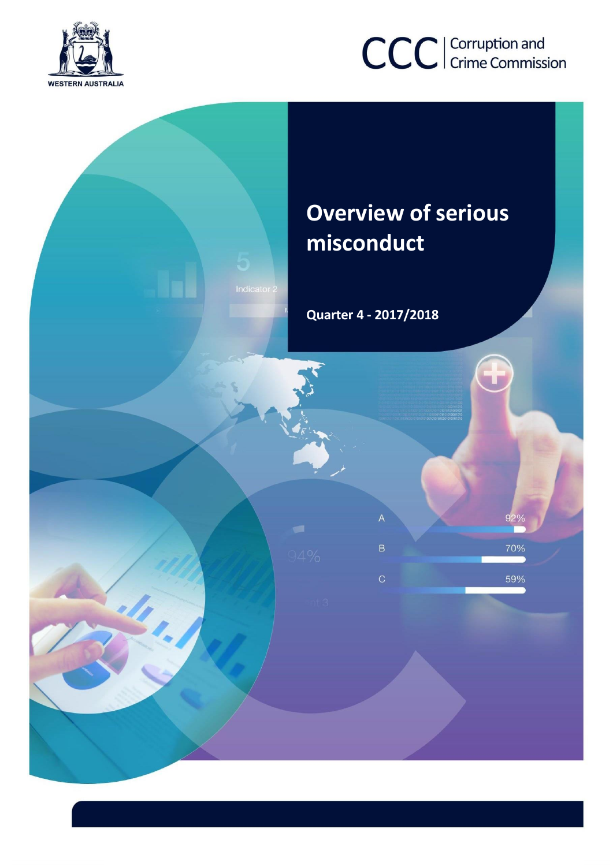

# CCC | Corruption and

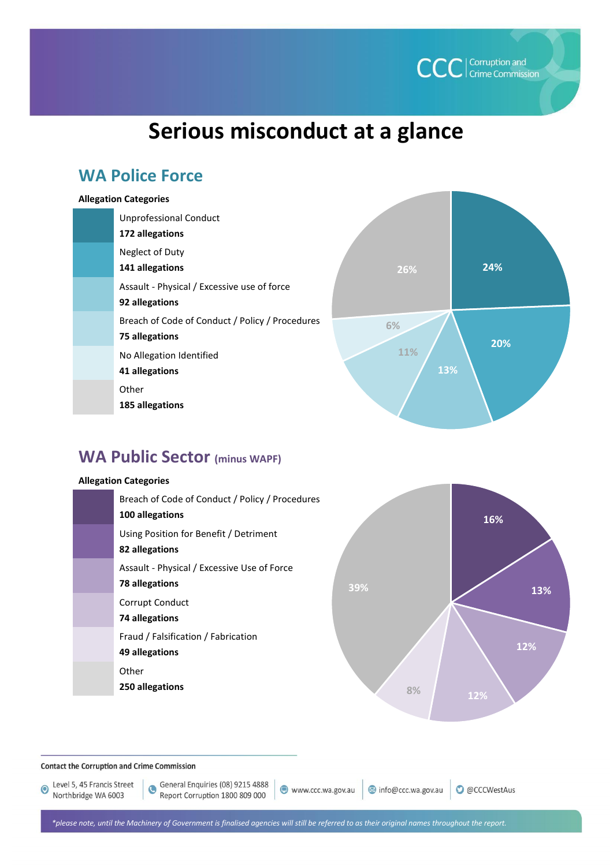

# **Serious misconduct at a glance**

# **WA Police Force**

#### **Allegation Categories**

| Unprofessional Conduct<br>172 allegations                         |
|-------------------------------------------------------------------|
| Neglect of Duty<br>141 allegations                                |
| Assault - Physical / Excessive use of force<br>92 allegations     |
| Breach of Code of Conduct / Policy / Procedures<br>75 allegations |
| No Allegation Identified<br>41 allegations                        |
| Other<br>185 allegations                                          |



# **WA Public Sector (minus WAPF)**

#### **Allegation Categories**

| Breach of Code of Conduct / Policy / Procedures<br>100 allegations   |     |  |
|----------------------------------------------------------------------|-----|--|
| Using Position for Benefit / Detriment<br>82 allegations             |     |  |
| Assault - Physical / Excessive Use of Force<br><b>78 allegations</b> | 39% |  |
| Corrupt Conduct<br>74 allegations                                    |     |  |
| Fraud / Falsification / Fabrication<br>49 allegations                |     |  |
| Other<br>250 allegations                                             | 8%  |  |

**16% 13% 12% 12% 8%**

**Contact the Corruption and Crime Commission** 

Level 5, 45 Francis Street Northbridge WA 6003

www.ccc.wa.gov.au

**O** @CCCWestAus info@ccc.wa.gov.au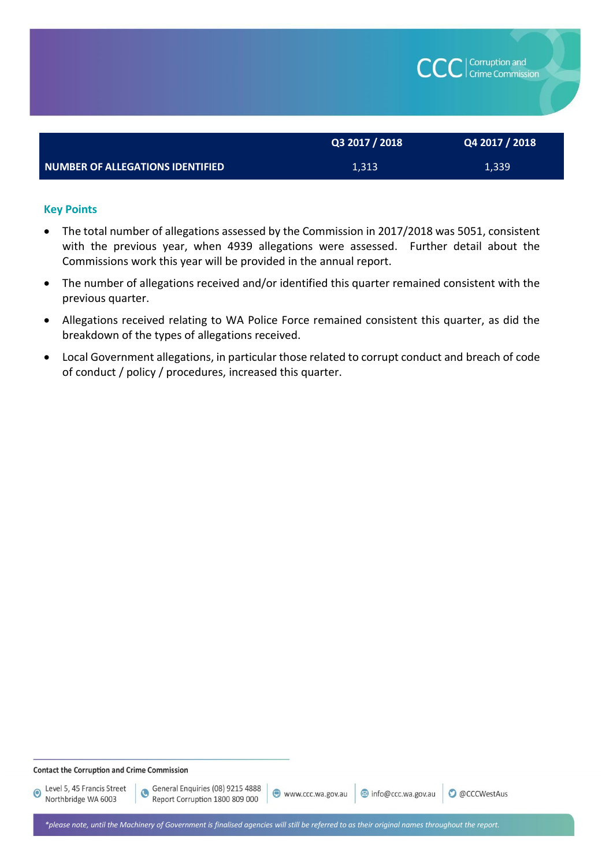

#### **Key Points**

- The total number of allegations assessed by the Commission in 2017/2018 was 5051, consistent with the previous year, when 4939 allegations were assessed. Further detail about the Commissions work this year will be provided in the annual report.
- The number of allegations received and/or identified this quarter remained consistent with the previous quarter.
- Allegations received relating to WA Police Force remained consistent this quarter, as did the breakdown of the types of allegations received.
- Local Government allegations, in particular those related to corrupt conduct and breach of code of conduct / policy / procedures, increased this quarter.

#### **Contact the Corruption and Crime Commission**

 $\ddot{\textbf{C}}$ 

Level 5, 45 Francis Street  $\odot$ Northbridge WA 6003

info@ccc.wa.gov.au

**O** @CCCWestAus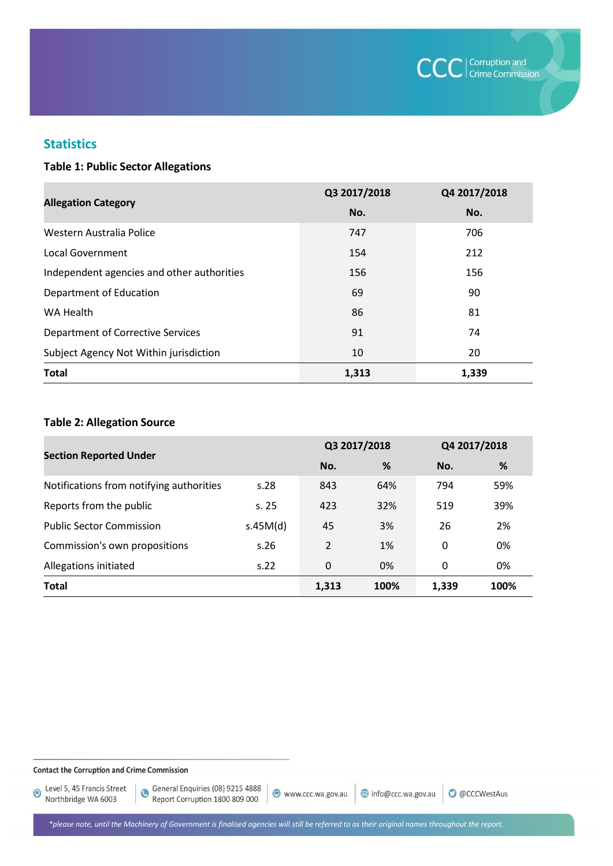

O @CCCWestAus

# **Statistics**

#### **Table 1: Public Sector Allegations**

|                                            | Q3 2017/2018 | Q4 2017/2018 |  |
|--------------------------------------------|--------------|--------------|--|
| <b>Allegation Category</b>                 | No.          | No.          |  |
| Western Australia Police                   | 747          | 706          |  |
| Local Government                           | 154          | 212          |  |
| Independent agencies and other authorities | 156          | 156          |  |
| Department of Education                    | 69           | 90           |  |
| WA Health                                  | 86           | 81           |  |
| <b>Department of Corrective Services</b>   | 91           | 74           |  |
| Subject Agency Not Within jurisdiction     | 10           | 20           |  |
| <b>Total</b>                               | 1,313        | 1,339        |  |

#### **Table 2: Allegation Source**

| <b>Section Reported Under</b>            |          | Q3 2017/2018   |      | Q4 2017/2018 |      |
|------------------------------------------|----------|----------------|------|--------------|------|
|                                          |          | No.            | %    | No.          | %    |
| Notifications from notifying authorities | s.28     | 843            | 64%  | 794          | 59%  |
| Reports from the public                  | s.25     | 423            | 32%  | 519          | 39%  |
| <b>Public Sector Commission</b>          | s.45M(d) | 45             | 3%   | 26           | 2%   |
| Commission's own propositions            | s.26     | $\mathfrak{p}$ | 1%   | 0            | 0%   |
| Allegations initiated                    | S.22     | 0              | 0%   | 0            | 0%   |
| <b>Total</b>                             |          | 1,313          | 100% | 1,339        | 100% |

#### **Contact the Corruption and Crime Commission**

Level 5, 45 Francis Street<br>Northbridge WA 6003

www.ccc.wa.gov.au info@ccc.wa.gov.au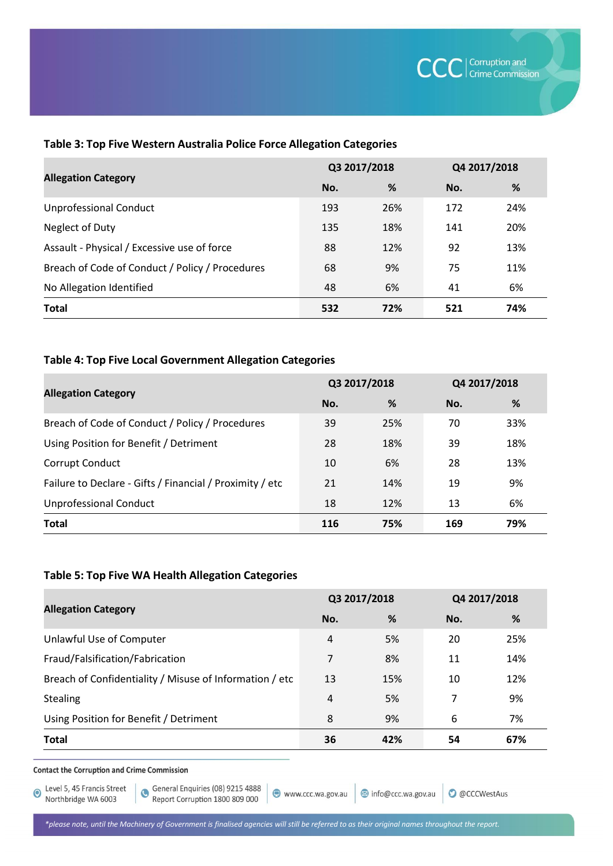| <b>Allegation Category</b>                      | Q3 2017/2018 |     | Q4 2017/2018 |     |
|-------------------------------------------------|--------------|-----|--------------|-----|
|                                                 | No.          | %   | No.          | %   |
| <b>Unprofessional Conduct</b>                   | 193          | 26% | 172          | 24% |
| Neglect of Duty                                 | 135          | 18% | 141          | 20% |
| Assault - Physical / Excessive use of force     | 88           | 12% | 92           | 13% |
| Breach of Code of Conduct / Policy / Procedures | 68           | 9%  | 75           | 11% |
| No Allegation Identified                        | 48           | 6%  | 41           | 6%  |
| <b>Total</b>                                    | 532          | 72% | 521          | 74% |

#### **Table 3: Top Five Western Australia Police Force Allegation Categories**

#### **Table 4: Top Five Local Government Allegation Categories**

|                                                          | Q3 2017/2018 |     | Q4 2017/2018 |     |
|----------------------------------------------------------|--------------|-----|--------------|-----|
| <b>Allegation Category</b>                               | No.          | %   | No.          | %   |
| Breach of Code of Conduct / Policy / Procedures          | 39           | 25% | 70           | 33% |
| Using Position for Benefit / Detriment                   | 28           | 18% | 39           | 18% |
| Corrupt Conduct                                          | 10           | 6%  | 28           | 13% |
| Failure to Declare - Gifts / Financial / Proximity / etc | 21           | 14% | 19           | 9%  |
| <b>Unprofessional Conduct</b>                            | 18           | 12% | 13           | 6%  |
| <b>Total</b>                                             | 116          | 75% | 169          | 79% |

#### **Table 5: Top Five WA Health Allegation Categories**

|                                                         | Q3 2017/2018   |     | Q4 2017/2018 |     |
|---------------------------------------------------------|----------------|-----|--------------|-----|
| <b>Allegation Category</b>                              | No.            | %   | No.          | %   |
| Unlawful Use of Computer                                | $\overline{4}$ | 5%  | 20           | 25% |
| Fraud/Falsification/Fabrication                         | 7              | 8%  | 11           | 14% |
| Breach of Confidentiality / Misuse of Information / etc | 13             | 15% | 10           | 12% |
| Stealing                                                | 4              | 5%  | 7            | 9%  |
| Using Position for Benefit / Detriment                  | 8              | 9%  | 6            | 7%  |
| <b>Total</b>                                            | 36             | 42% | 54           | 67% |

#### **Contact the Corruption and Crime Commission**

Level 5, 45 Francis Street Northbridge WA 6003

www.ccc.wa.gov.au

info@ccc.wa.gov.au

**O** @CCCWestAus